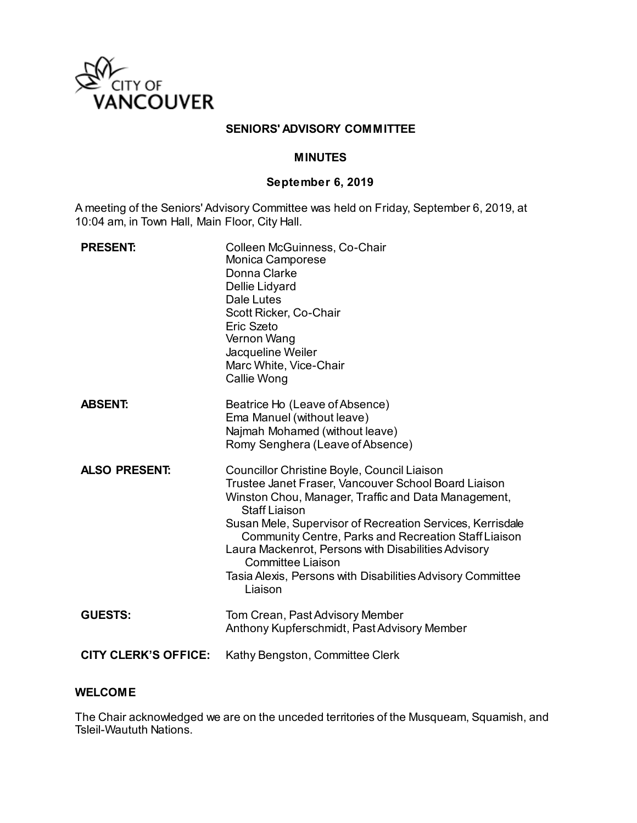

### **SENIORS' ADVISORY COMMITTEE**

#### **MINUTES**

## **September 6, 2019**

A meeting of the Seniors' Advisory Committee was held on Friday, September 6, 2019, at 10:04 am, in Town Hall, Main Floor, City Hall.

| <b>PRESENT:</b>             | Colleen McGuinness, Co-Chair<br>Monica Camporese<br>Donna Clarke<br>Dellie Lidyard<br>Dale Lutes<br>Scott Ricker, Co-Chair<br>Eric Szeto<br>Vernon Wang<br>Jacqueline Weiler<br>Marc White, Vice-Chair<br>Callie Wong                                                                                                                                                                                                                                                      |
|-----------------------------|----------------------------------------------------------------------------------------------------------------------------------------------------------------------------------------------------------------------------------------------------------------------------------------------------------------------------------------------------------------------------------------------------------------------------------------------------------------------------|
| <b>ABSENT:</b>              | Beatrice Ho (Leave of Absence)<br>Ema Manuel (without leave)<br>Najmah Mohamed (without leave)<br>Romy Senghera (Leave of Absence)                                                                                                                                                                                                                                                                                                                                         |
| <b>ALSO PRESENT:</b>        | Councillor Christine Boyle, Council Liaison<br>Trustee Janet Fraser, Vancouver School Board Liaison<br>Winston Chou, Manager, Traffic and Data Management,<br><b>Staff Liaison</b><br>Susan Mele, Supervisor of Recreation Services, Kerrisdale<br><b>Community Centre, Parks and Recreation Staff Liaison</b><br>Laura Mackenrot, Persons with Disabilities Advisory<br><b>Committee Liaison</b><br>Tasia Alexis, Persons with Disabilities Advisory Committee<br>Liaison |
| <b>GUESTS:</b>              | Tom Crean, Past Advisory Member<br>Anthony Kupferschmidt, Past Advisory Member                                                                                                                                                                                                                                                                                                                                                                                             |
| <b>CITY CLERK'S OFFICE:</b> | Kathy Bengston, Committee Clerk                                                                                                                                                                                                                                                                                                                                                                                                                                            |

### **WELCOME**

The Chair acknowledged we are on the unceded territories of the Musqueam, Squamish, and Tsleil-Waututh Nations.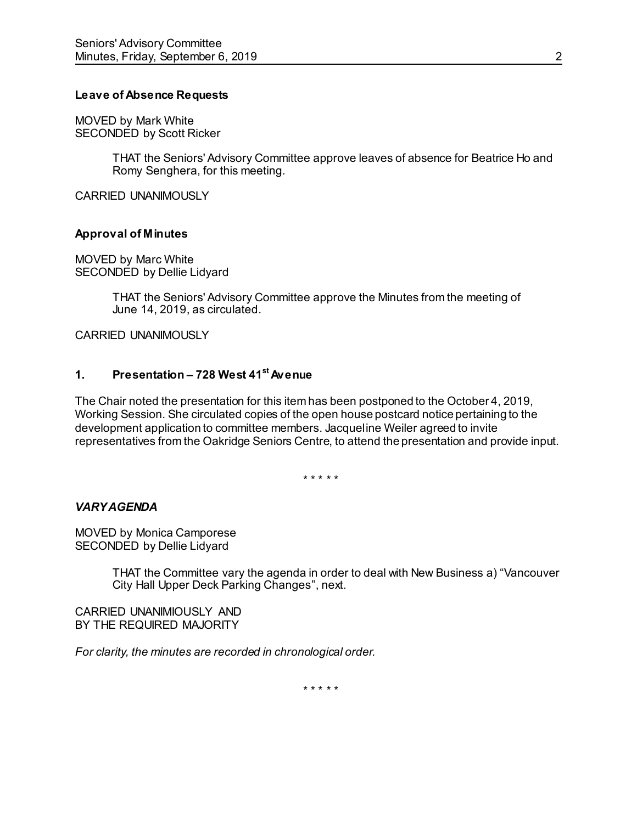### **Leave of Absence Requests**

MOVED by Mark White SECONDED by Scott Ricker

> THAT the Seniors' Advisory Committee approve leaves of absence for Beatrice Ho and Romy Senghera, for this meeting.

CARRIED UNANIMOUSLY

### **Approval of Minutes**

MOVED by Marc White SECONDED by Dellie Lidyard

> THAT the Seniors' Advisory Committee approve the Minutes from the meeting of June 14, 2019, as circulated.

CARRIED UNANIMOUSLY

### **1. Presentation – 728 West 41st Avenue**

The Chair noted the presentation for this item has been postponed to the October 4, 2019, Working Session. She circulated copies of the open house postcard notice pertaining to the development application to committee members. Jacqueline Weiler agreed to invite representatives from the Oakridge Seniors Centre, to attend the presentation and provide input.

\* \* \* \* \*

#### *VARY AGENDA*

MOVED by Monica Camporese SECONDED by Dellie Lidyard

> THAT the Committee vary the agenda in order to deal with New Business a) "Vancouver City Hall Upper Deck Parking Changes", next.

CARRIED UNANIMIOUSLY AND BY THE REQUIRED MAJORITY

*For clarity, the minutes are recorded in chronological order.*

\* \* \* \* \*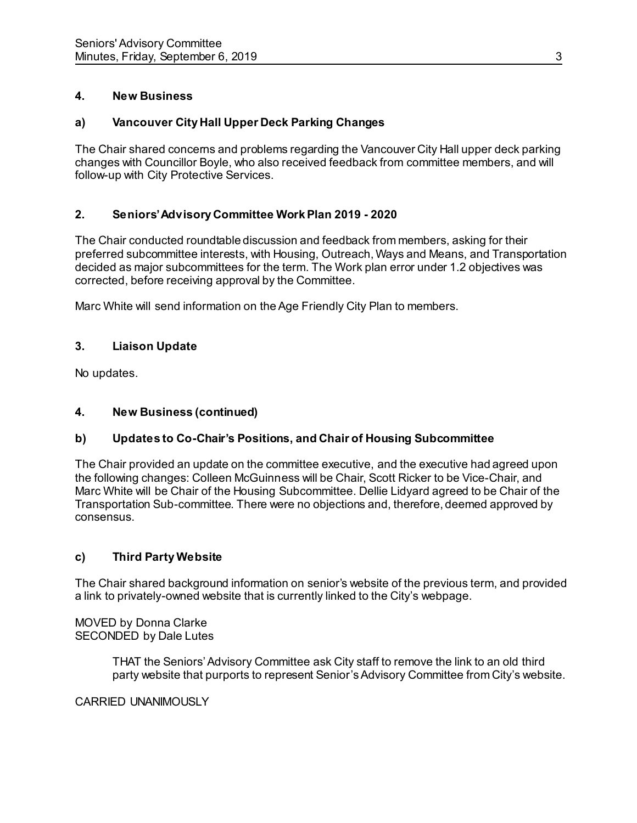# **4. New Business**

# **a) Vancouver City Hall Upper Deck Parking Changes**

The Chair shared concerns and problems regarding the Vancouver City Hall upper deck parking changes with Councillor Boyle, who also received feedback from committee members, and will follow-up with City Protective Services.

# **2. Seniors' Advisory Committee Work Plan 2019 - 2020**

The Chair conducted roundtable discussion and feedback from members, asking for their preferred subcommittee interests, with Housing, Outreach, Ways and Means, and Transportation decided as major subcommittees for the term. The Work plan error under 1.2 objectives was corrected, before receiving approval by the Committee.

Marc White will send information on the Age Friendly City Plan to members.

# **3. Liaison Update**

No updates.

# **4. New Business (continued)**

# **b) Updates to Co-Chair's Positions, and Chair of Housing Subcommittee**

The Chair provided an update on the committee executive, and the executive had agreed upon the following changes: Colleen McGuinness will be Chair, Scott Ricker to be Vice-Chair, and Marc White will be Chair of the Housing Subcommittee. Dellie Lidyard agreed to be Chair of the Transportation Sub-committee. There were no objections and, therefore, deemed approved by consensus.

# **c) Third Party Website**

The Chair shared background information on senior's website of the previous term, and provided a link to privately-owned website that is currently linked to the City's webpage.

MOVED by Donna Clarke SECONDED by Dale Lutes

> THAT the Seniors' Advisory Committee ask City staff to remove the link to an old third party website that purports to represent Senior's Advisory Committee from City's website.

CARRIED UNANIMOUSLY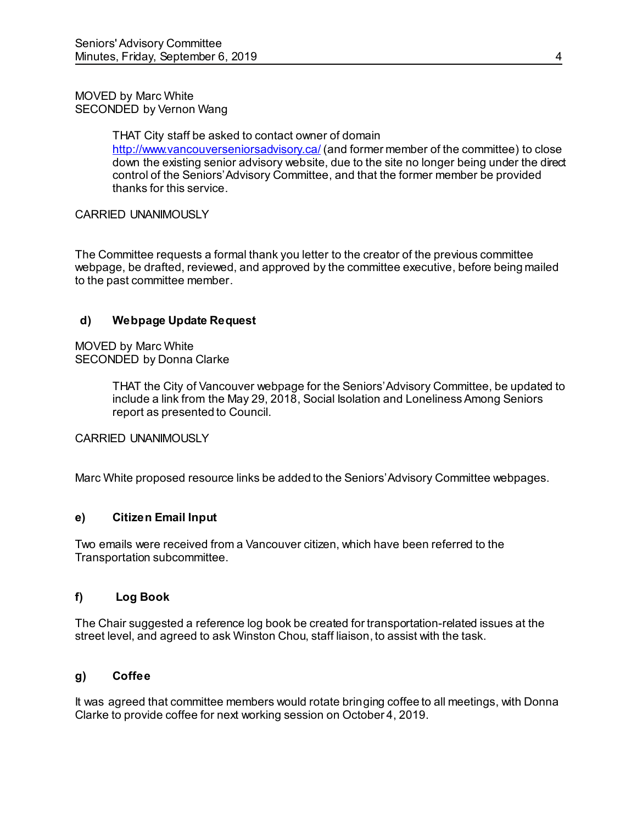### MOVED by Marc White SECONDED by Vernon Wang

THAT City staff be asked to contact owner of domain <http://www.vancouverseniorsadvisory.ca/> (and former member of the committee) to close down the existing senior advisory website, due to the site no longer being under the direct control of the Seniors' Advisory Committee, and that the former member be provided thanks for this service.

## CARRIED UNANIMOUSLY

The Committee requests a formal thank you letter to the creator of the previous committee webpage, be drafted, reviewed, and approved by the committee executive, before being mailed to the past committee member.

## **d) Webpage Update Request**

MOVED by Marc White SECONDED by Donna Clarke

> THAT the City of Vancouver webpage for the Seniors' Advisory Committee, be updated to include a link from the May 29, 2018, Social Isolation and Loneliness Among Seniors report as presented to Council.

### CARRIED UNANIMOUSLY

Marc White proposed resource links be added to the Seniors' Advisory Committee webpages.

### **e) Citizen Email Input**

Two emails were received from a Vancouver citizen, which have been referred to the Transportation subcommittee.

#### **f) Log Book**

The Chair suggested a reference log book be created for transportation-related issues at the street level, and agreed to ask Winston Chou, staff liaison, to assist with the task.

### **g) Coffee**

It was agreed that committee members would rotate bringing coffee to all meetings, with Donna Clarke to provide coffee for next working session on October 4, 2019.